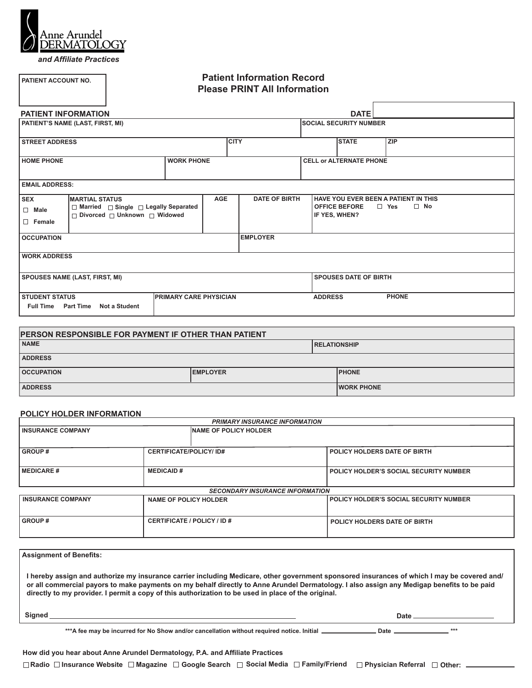

**PATIENT ACCOUNT NO.**

*and Affiliate Practices*

# **Patient Information Record Please PRINT All Information**

| <b>PATIENT INFORMATION</b>                                                                                      |                                                                                                                 |  |  |                                |                               | <b>DATE</b>                           |                                                                 |  |
|-----------------------------------------------------------------------------------------------------------------|-----------------------------------------------------------------------------------------------------------------|--|--|--------------------------------|-------------------------------|---------------------------------------|-----------------------------------------------------------------|--|
| PATIENT'S NAME (LAST, FIRST, MI)                                                                                |                                                                                                                 |  |  |                                | <b>SOCIAL SECURITY NUMBER</b> |                                       |                                                                 |  |
| <b>STREET ADDRESS</b>                                                                                           |                                                                                                                 |  |  | <b>CITY</b>                    |                               | <b>STATE</b>                          | <b>ZIP</b>                                                      |  |
| <b>HOME PHONE</b><br><b>WORK PHONE</b>                                                                          |                                                                                                                 |  |  | <b>CELL or ALTERNATE PHONE</b> |                               |                                       |                                                                 |  |
| <b>EMAIL ADDRESS:</b>                                                                                           |                                                                                                                 |  |  |                                |                               |                                       |                                                                 |  |
| <b>SEX</b><br>$\Box$ Male<br>$\Box$ Female                                                                      | <b>AGE</b><br><b>MARTIAL STATUS</b><br>□ Married □ Single □ Legally Separated<br>□ Divorced □ Unknown □ Widowed |  |  | <b>DATE OF BIRTH</b>           |                               | <b>OFFICE BEFORE</b><br>IF YES, WHEN? | HAVE YOU EVER BEEN A PATIENT IN THIS<br>$\Box$ Yes<br>$\Box$ No |  |
| <b>OCCUPATION</b>                                                                                               |                                                                                                                 |  |  | <b>EMPLOYER</b>                |                               |                                       |                                                                 |  |
| <b>WORK ADDRESS</b>                                                                                             |                                                                                                                 |  |  |                                |                               |                                       |                                                                 |  |
| <b>SPOUSES NAME (LAST, FIRST, MI)</b>                                                                           |                                                                                                                 |  |  |                                |                               | <b>SPOUSES DATE OF BIRTH</b>          |                                                                 |  |
| <b>STUDENT STATUS</b><br><b>PRIMARY CARE PHYSICIAN</b><br><b>Part Time</b><br><b>Full Time</b><br>Not a Student |                                                                                                                 |  |  |                                | <b>ADDRESS</b>                |                                       | <b>PHONE</b>                                                    |  |

| <b>PERSON RESPONSIBLE FOR PAYMENT IF OTHER THAN PATIENT</b> |  |  |  |  |  |  |  |
|-------------------------------------------------------------|--|--|--|--|--|--|--|
| <b>NAME</b><br><b>IRELATIONSHIP</b>                         |  |  |  |  |  |  |  |
| <b>ADDRESS</b>                                              |  |  |  |  |  |  |  |
| <b>PHONE</b><br><b>OCCUPATION</b><br><b>IEMPLOYER</b>       |  |  |  |  |  |  |  |
| <b>ADDRESS</b><br><b>IWORK PHONE</b>                        |  |  |  |  |  |  |  |

#### **POLICY HOLDER INFORMATION**

| <b>PRIMARY INSURANCE INFORMATION</b>           |                              |                                        |                                               |  |  |  |  |
|------------------------------------------------|------------------------------|----------------------------------------|-----------------------------------------------|--|--|--|--|
| <b>INSURANCE COMPANY</b>                       |                              | <b>INAME OF POLICY HOLDER</b>          |                                               |  |  |  |  |
|                                                |                              |                                        |                                               |  |  |  |  |
| <b>GROUP#</b><br><b>CERTIFICATE/POLICY/ID#</b> |                              |                                        | POLICY HOLDERS DATE OF BIRTH                  |  |  |  |  |
|                                                |                              |                                        |                                               |  |  |  |  |
| <b>MEDICAID#</b><br><b>MEDICARE#</b>           |                              |                                        | <b>POLICY HOLDER'S SOCIAL SECURITY NUMBER</b> |  |  |  |  |
|                                                |                              |                                        |                                               |  |  |  |  |
|                                                |                              | <b>SECONDARY INSURANCE INFORMATION</b> |                                               |  |  |  |  |
| <b>INSURANCE COMPANY</b>                       | <b>NAME OF POLICY HOLDER</b> |                                        | POLICY HOLDER'S SOCIAL SECURITY NUMBER        |  |  |  |  |
|                                                |                              |                                        |                                               |  |  |  |  |
| <b>GROUP#</b>                                  |                              | CERTIFICATE / POLICY / ID #            | POLICY HOLDERS DATE OF BIRTH                  |  |  |  |  |
|                                                |                              |                                        |                                               |  |  |  |  |

| <b>Assignment of Benefits:</b>                                                                                                                                                                                                                                                                                                                                                                   |                                                                                                                                                                                                                                       |
|--------------------------------------------------------------------------------------------------------------------------------------------------------------------------------------------------------------------------------------------------------------------------------------------------------------------------------------------------------------------------------------------------|---------------------------------------------------------------------------------------------------------------------------------------------------------------------------------------------------------------------------------------|
| l hereby assign and authorize my insurance carrier including Medicare, other government sponsored insurances of which I may be covered and/<br>or all commercial payors to make payments on my behalf directly to Anne Arundel Dermatology. I also assign any Medigap benefits to be paid<br>directly to my provider. I permit a copy of this authorization to be used in place of the original. |                                                                                                                                                                                                                                       |
| Signed <b>Signed Signed Signed Signed Signed Signed Signed Signed Signed Signed Signed Signed Signed Signed Signed Signed Signed Signed Signed Signed Signed Signed Signed Signed</b>                                                                                                                                                                                                            | Date <u>the contract of the contract of the contract of the contract of the contract of the contract of the contract of the contract of the contract of the contract of the contract of the contract of the contract of the cont</u>  |
| ***A fee may be incurred for No Show and/or cancellation without required notice. Initial __________                                                                                                                                                                                                                                                                                             | ***<br>Date to the contract of the contract of the contract of the contract of the contract of the contract of the contract of the contract of the contract of the contract of the contract of the contract of the contract of the co |
| How did you hear about Anne Arundel Dermatology, P.A. and Affiliate Practices                                                                                                                                                                                                                                                                                                                    |                                                                                                                                                                                                                                       |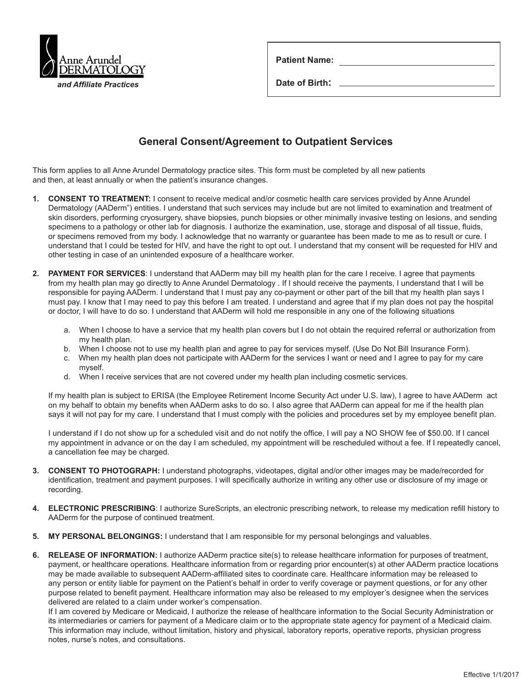

| <b>Patient Name:</b> |  |
|----------------------|--|
| Date of Birth:       |  |

# **General Consent/Agreement to Outpatient Services**

This form applies to all Anne Arundel Dermatology practice sites. This form must be completed by all new patients and then, at least annually or when the patient's insurance changes.

- **1. CONSENT TO TREATMENT:** I consent to receive medical and/or cosmetic health care services provided by Anne Arundel Dermatology (AADerm") entities. I understand that such services may include but are not limited to examination and treatment of skin disorders, performing cryosurgery, shave biopsies, punch biopsies or other minimally invasive testing on lesions, and sending specimens to a pathology or other lab for diagnosis. I authorize the examination, use, storage and disposal of all tissue, fluids, or specimens removed from my body. I acknowledge that no warranty or guarantee has been made to me as to result or cure. I understand that I could be tested for HIV, and have the right to opt out. I understand that my consent will be requested for HIV and other testing in case of an unintended exposure of a healthcare worker.
- **2. PAYMENT FOR SERVICES**: I understand that AADerm may bill my health plan for the care I receive. I agree that payments from my health plan may go directly to Anne Arundel Dermatology . If I should receive the payments, I understand that I will be responsible for paying AADerm. I understand that I must pay any co-payment or other part of the bill that my health plan says I must pay. I know that I may need to pay this before I am treated. I understand and agree that if my plan does not pay the hospital or doctor, I will have to do so. I understand that AADerm will hold me responsible in any one of the following situations
	- a. When I choose to have a service that my health plan covers but I do not obtain the required referral or authorization from my health plan.
	- b. When I choose not to use my health plan and agree to pay for services myself. (Use Do Not Bill Insurance Form).
	- c. When my health plan does not participate with AADerm for the services I want or need and I agree to pay for my care myself.
	- d. When I receive services that are not covered under my health plan including cosmetic services.

If my health plan is subject to ERISA (the Employee Retirement Income Security Act under U.S. law), I agree to have AADerm act on my behalf to obtain my benefits when AADerm asks to do so. I also agree that AADerm can appeal for me if the health plan says it will not pay for my care. I understand that I must comply with the policies and procedures set by my employee benefit plan.

I understand if I do not show up for a scheduled visit and do not notify the office, I will pay a NO SHOW fee of \$50.00. If I cancel my appointment in advance or on the day I am scheduled, my appointment will be rescheduled without a fee. If I repeatedly cancel, a cancellation fee may be charged.

- **3. CONSENT TO PHOTOGRAPH:** I understand photographs, videotapes, digital and/or other images may be made/recorded for identification, treatment and payment purposes. I will specifically authorize in writing any other use or disclosure of my image or recording.
- **4. ELECTRONIC PRESCRIBING**: I authorize SureScripts, an electronic prescribing network, to release my medication refill history to AADerm for the purpose of continued treatment.
- **5. MY PERSONAL BELONGINGS:** I understand that I am responsible for my personal belongings and valuables.
- **6. RELEASE OF INFORMATION:** I authorize AADerm practice site(s) to release healthcare information for purposes of treatment, payment, or healthcare operations. Healthcare information from or regarding prior encounter(s) at other AADerm practice locations may be made available to subsequent AADerm-affiliated sites to coordinate care. Healthcare information may be released to any person or entity liable for payment on the Patient's behalf in order to verify coverage or payment questions, or for any other purpose related to benefit payment. Healthcare information may also be released to my employer's designee when the services delivered are related to a claim under worker's compensation.

If I am covered by Medicare or Medicaid, I authorize the release of healthcare information to the Social Security Administration or its intermediaries or carriers for payment of a Medicare claim or to the appropriate state agency for payment of a Medicaid claim. This information may include, without limitation, history and physical, laboratory reports, operative reports, physician progress notes, nurse's notes, and consultations.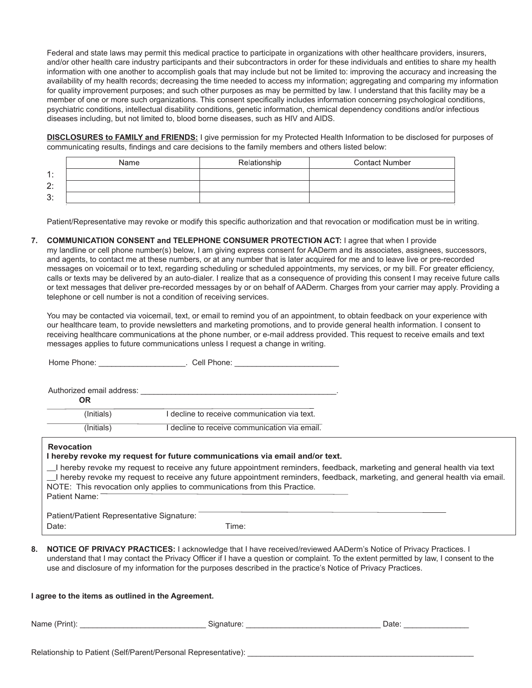Federal and state laws may permit this medical practice to participate in organizations with other healthcare providers, insurers, and/or other health care industry participants and their subcontractors in order for these individuals and entities to share my health information with one another to accomplish goals that may include but not be limited to: improving the accuracy and increasing the availability of my health records; decreasing the time needed to access my information; aggregating and comparing my information for quality improvement purposes; and such other purposes as may be permitted by law. I understand that this facility may be a member of one or more such organizations. This consent specifically includes information concerning psychological conditions, psychiatric conditions, intellectual disability conditions, genetic information, chemical dependency conditions and/or infectious diseases including, but not limited to, blood borne diseases, such as HIV and AIDS.

**DISCLOSURES to FAMILY and FRIENDS:** I give permission for my Protected Health Information to be disclosed for purposes of communicating results, findings and care decisions to the family members and others listed below:

|                             | Name | Relationship | <b>Contact Number</b> |
|-----------------------------|------|--------------|-----------------------|
| $\ddot{\phantom{1}}$<br>. . |      |              |                       |
| 2:                          |      |              |                       |
| 3:                          |      |              |                       |

Patient/Representative may revoke or modify this specific authorization and that revocation or modification must be in writing.

#### **7. COMMUNICATION CONSENT and TELEPHONE CONSUMER PROTECTION ACT:** I agree that when I provide

my landline or cell phone number(s) below, I am giving express consent for AADerm and its associates, assignees, successors, and agents, to contact me at these numbers, or at any number that is later acquired for me and to leave live or pre-recorded messages on voicemail or to text, regarding scheduling or scheduled appointments, my services, or my bill. For greater efficiency, calls or texts may be delivered by an auto-dialer. I realize that as a consequence of providing this consent I may receive future calls or text messages that deliver pre-recorded messages by or on behalf of AADerm. Charges from your carrier may apply. Providing a telephone or cell number is not a condition of receiving services.

You may be contacted via voicemail, text, or email to remind you of an appointment, to obtain feedback on your experience with our healthcare team, to provide newsletters and marketing promotions, and to provide general health information. I consent to receiving healthcare communications at the phone number, or e-mail address provided. This request to receive emails and text messages applies to future communications unless I request a change in writing.

| . Cell Phone:<br>Home Phone: New York 1996                                                                                                                                                              |
|---------------------------------------------------------------------------------------------------------------------------------------------------------------------------------------------------------|
| Authorized email address:                                                                                                                                                                               |
|                                                                                                                                                                                                         |
| decline to receive communication via text.                                                                                                                                                              |
| decline to receive communication via email.                                                                                                                                                             |
| I hereby revoke my request for future communications via email and/or text.<br>_I hereby revoke my request to receive any future appointment reminders, feedback, marketing and general health via text |
|                                                                                                                                                                                                         |

Date: Time:

**8. NOTICE OF PRIVACY PRACTICES:** I acknowledge that I have received/reviewed AADerm's Notice of Privacy Practices. I understand that I may contact the Privacy Officer if I have a question or complaint. To the extent permitted by law, I consent to the use and disclosure of my information for the purposes described in the practice's Notice of Privacy Practices.

#### **I agree to the items as outlined in the Agreement.**

| Name<br>- GILIT | )ate |
|-----------------|------|
|                 |      |

Relationship to Patient (Self/Parent/Personal Representative):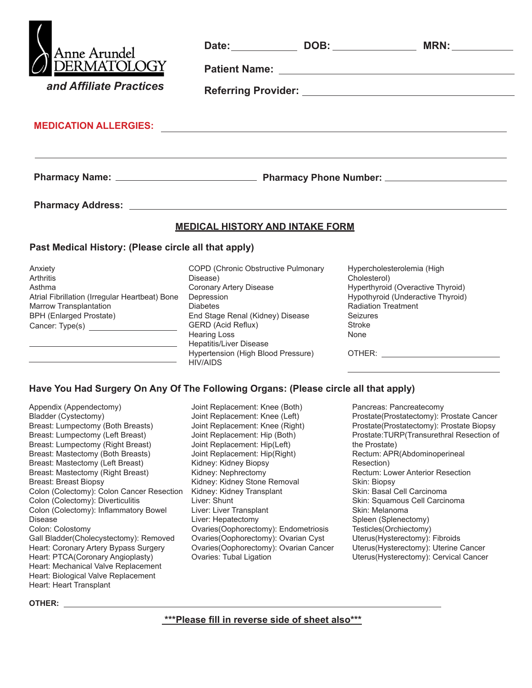| Anne Arundel<br>DERMATOLOGY<br>and Affiliate Practices                                                                                                                                                                               |                                                                                                                                                                       |                                                                                                                                                                                 |
|--------------------------------------------------------------------------------------------------------------------------------------------------------------------------------------------------------------------------------------|-----------------------------------------------------------------------------------------------------------------------------------------------------------------------|---------------------------------------------------------------------------------------------------------------------------------------------------------------------------------|
| MEDICATION ALLERGIES: <b>All and the Contract of Contract Contract of Contract Contract Contract On Contract Contract Contract Contract Contract Contract Contract Contract Contract Contract Contract Contract Contract Contrac</b> |                                                                                                                                                                       |                                                                                                                                                                                 |
|                                                                                                                                                                                                                                      |                                                                                                                                                                       |                                                                                                                                                                                 |
|                                                                                                                                                                                                                                      |                                                                                                                                                                       |                                                                                                                                                                                 |
|                                                                                                                                                                                                                                      | <b>MEDICAL HISTORY AND INTAKE FORM</b>                                                                                                                                |                                                                                                                                                                                 |
| Past Medical History: (Please circle all that apply)                                                                                                                                                                                 |                                                                                                                                                                       |                                                                                                                                                                                 |
| Anxiety<br>Arthritis<br>Asthma<br>Atrial Fibrillation (Irregular Heartbeat) Bone<br>Marrow Transplantation<br><b>BPH (Enlarged Prostate)</b><br>Cancer: Type(s)                                                                      | COPD (Chronic Obstructive Pulmonary<br>Disease)<br>Coronary Artery Disease<br>Depression<br><b>Diabetes</b><br>End Stage Renal (Kidney) Disease<br>GERD (Acid Reflux) | Hypercholesterolemia (High<br>Cholesterol)<br>Hyperthyroid (Overactive Thyroid)<br>Hypothyroid (Underactive Thyroid)<br><b>Radiation Treatment</b><br><b>Seizures</b><br>Stroke |

#### **Have You Had Surgery On Any Of The Following Organs: (Please circle all that apply)**

Hepatitis/Liver Disease

Hypertension (High Blood Pressure)

Hearing Loss

HIV/AIDS

Appendix (Appendectomy) Bladder (Cystectomy) Breast: Lumpectomy (Both Breasts) Breast: Lumpectomy (Left Breast) Breast: Lumpectomy (Right Breast) Breast: Mastectomy (Both Breasts) Breast: Mastectomy (Left Breast) Breast: Mastectomy (Right Breast) Breast: Breast Biopsy Colon (Colectomy): Colon Cancer Resection Colon (Colectomy): Diverticulitis Colon (Colectomy): Inflammatory Bowel Disease Colon: Colostomy Gall Bladder(Cholecystectomy): Removed Heart: Coronary Artery Bypass Surgery Heart: PTCA(Coronary Angioplasty) Heart: Mechanical Valve Replacement Heart: Biological Valve Replacement Heart: Heart Transplant

Joint Replacement: Knee (Both) Joint Replacement: Knee (Left) Joint Replacement: Knee (Right) Joint Replacement: Hip (Both) Joint Replacement: Hip(Left) Joint Replacement: Hip(Right) Kidney: Kidney Biopsy Kidney: Nephrectomy Kidney: Kidney Stone Removal Kidney: Kidney Transplant Liver: Shunt Liver: Liver Transplant Liver: Hepatectomy Ovaries(Oophorectomy): Endometriosis Ovaries(Oophorectomy): Ovarian Cyst Ovaries(Oophorectomy): Ovarian Cancer Ovaries: Tubal Ligation

Pancreas: Pancreatecomy Prostate(Prostatectomy): Prostate Cancer Prostate(Prostatectomy): Prostate Biopsy Prostate:TURP(Transurethral Resection of the Prostate) Rectum: APR(Abdominoperineal Resection) Rectum: Lower Anterior Resection Skin: Biopsy Skin: Basal Cell Carcinoma Skin: Squamous Cell Carcinoma Skin: Melanoma Spleen (Splenectomy) Testicles(Orchiectomy) Uterus(Hysterectomy): Fibroids Uterus(Hysterectomy): Uterine Cancer Uterus(Hysterectomy): Cervical Cancer

OTHER:

None

**OTHER:** 

 **\*\*\*Please fill in reverse side of sheet also\*\*\***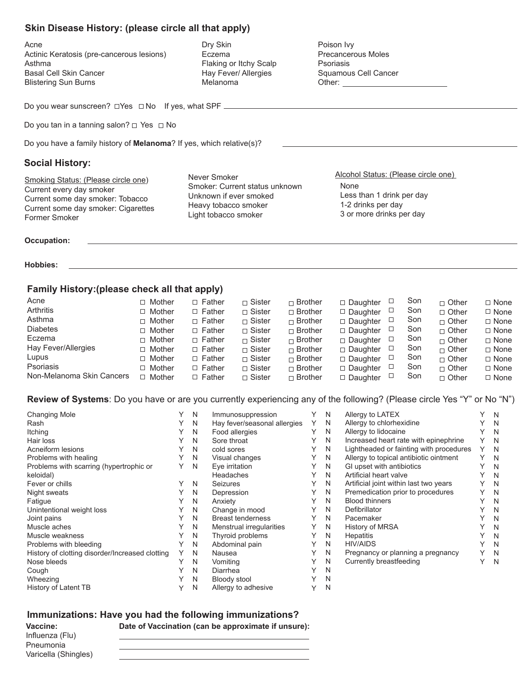### **Skin Disease History: (please circle all that apply)**

Acne Actinic Keratosis (pre-cancerous lesions) Asthma Basal Cell Skin Cancer Blistering Sun Burns

Dry Skin Eczema Flaking or Itchy Scalp Hay Fever/ Allergies Melanoma

Poison Ivy Precancerous Moles Psoriasis Squamous Cell Cancer Other:

Do you wear sunscreen?  $\Box$  Yes  $\Box$  No If yes, what SPF  $\Box$ 

Do you tan in a tanning salon?  $\Box$  Yes  $\Box$  No

Do you have a family history of **Melanoma**? If yes, which relative(s)?

## **Social History:**

Smoking Status: (Please circle one) Current every day smoker Current some day smoker: Tobacco Current some day smoker: Cigarettes Former Smoker

Never Smoker Smoker: Current status unknown Unknown if ever smoked Heavy tobacco smoker Light tobacco smoker

None Less than 1 drink per day 1-2 drinks per day 3 or more drinks per day Alcohol Status: (Please circle one)

**Occupation:**

**Hobbies:**

## **Family History:(please check all that apply)**

| Acne                      | □ Mother      | $\Box$ Father | $\sqcap$ Sister | $\Box$ Brother | $\Box$ Daughter | Son           | $\Box$ Other   | $\Box$ None |
|---------------------------|---------------|---------------|-----------------|----------------|-----------------|---------------|----------------|-------------|
| <b>Arthritis</b>          | $\Box$ Mother | $\Box$ Father | $\Box$ Sister   | $\Box$ Brother | $\Box$ Daughter | Son           | $\Box$ Other   | $\Box$ None |
| Asthma                    | $\Box$ Mother | $\Box$ Father | $\sqcap$ Sister | $\Box$ Brother | $\Box$ Daughter | Son           | $\Box$ Other   | $\Box$ None |
| <b>Diabetes</b>           | $\Box$ Mother | $\Box$ Father | $\Box$ Sister   | $\Box$ Brother | $\Box$ Daughter | Son           | $\Box$ Other   | $\Box$ None |
| Eczema                    | □ Mother      | $\Box$ Father | $\sqcap$ Sister | $\Box$ Brother | $\Box$ Daughter | Son<br>$\Box$ | $\Box$ Other   | $\Box$ None |
| Hay Fever/Allergies       | $\Box$ Mother | $\Box$ Father | $\sqcap$ Sister | $\Box$ Brother | $\Box$ Daughter | Son<br>ப      | $\sqcap$ Other | $\Box$ None |
| Lupus                     | □ Mother      | $\Box$ Father | $\sqcap$ Sister | $\Box$ Brother | $\Box$ Daughter | Son           | $\Box$ Other   | $\Box$ None |
| Psoriasis                 | $\Box$ Mother | $\Box$ Father | $\Box$ Sister   | $\Box$ Brother | $\Box$ Daughter | Son           | $\Box$ Other   | $\Box$ None |
| Non-Melanoma Skin Cancers | Mother        | $\Box$ Father | $\Box$ Sister   | $\Box$ Brother | $\Box$ Daughter | Son<br>ப      | $\Box$ Other   | $\Box$ None |

**Review of Systems**: Do you have or are you currently experiencing any of the following? (Please circle Yes "Y" or No "N")

| <b>Changing Mole</b>                            |   | N | Immunosuppression            |   | N | Allergy to LATEX                        |             | N |
|-------------------------------------------------|---|---|------------------------------|---|---|-----------------------------------------|-------------|---|
| Rash                                            |   | N | Hay fever/seasonal allergies | Y | N | Allergy to chlorhexidine                |             | N |
| Itching                                         |   | N | Food allergies               |   | N | Allergy to lidocaine                    |             | N |
| Hair loss                                       |   | N | Sore throat                  |   | N | Increased heart rate with epinephrine   | Υ           | N |
| Acneiform lesions                               |   | N | cold sores                   |   | N | Lightheaded or fainting with procedures | Υ           | N |
| Problems with healing                           |   | N | Visual changes               |   | N | Allergy to topical antibiotic ointment  | Y           | N |
| Problems with scarring (hypertrophic or         |   | N | Eye irritation               |   | N | GI upset with antibiotics               |             | N |
| keloidal)                                       |   |   | Headaches                    |   | N | Artificial heart valve                  | ∨           | N |
| Fever or chills                                 |   | N | <b>Seizures</b>              |   | N | Artificial joint within last two years  |             | N |
| Night sweats                                    |   | N | Depression                   |   | N | Premedication prior to procedures       |             | N |
| Fatigue                                         |   | N | Anxiety                      |   | N | <b>Blood thinners</b>                   |             | N |
| Unintentional weight loss                       |   | N | Change in mood               |   | N | Defibrillator                           |             | N |
| Joint pains                                     |   | N | <b>Breast tenderness</b>     |   | N | Pacemaker                               |             | N |
| Muscle aches                                    |   | N | Menstrual irregularities     |   | N | <b>History of MRSA</b>                  |             | N |
| Muscle weakness                                 |   | N | Thyroid problems             |   | N | <b>Hepatitis</b>                        |             | N |
| Problems with bleeding                          |   | N | Abdominal pain               |   | N | <b>HIV/AIDS</b>                         |             | N |
| History of clotting disorder/Increased clotting | Υ | N | Nausea                       |   | N | Pregnancy or planning a pregnancy       | Υ           | N |
| Nose bleeds                                     |   | N | Vomiting                     |   | N | Currently breastfeeding                 | $\check{ }$ | N |
| Cough                                           |   | N | Diarrhea                     |   | N |                                         |             |   |
| Wheezing                                        |   | N | <b>Bloody stool</b>          |   | N |                                         |             |   |
| History of Latent TB                            |   | N | Allergy to adhesive          |   | N |                                         |             |   |

#### **Immunizations: Have you had the following immunizations?**

**Date of Vaccination (can be approximate if unsure):** 

**Vaccine:** Influenza (Flu) Pneumonia Varicella (Shingles)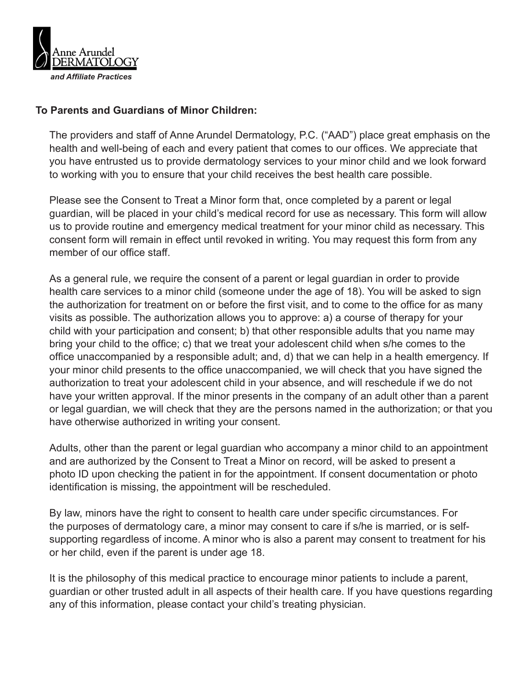

# **To Parents and Guardians of Minor Children:**

The providers and staff of Anne Arundel Dermatology, P.C. ("AAD") place great emphasis on the health and well-being of each and every patient that comes to our offices. We appreciate that you have entrusted us to provide dermatology services to your minor child and we look forward to working with you to ensure that your child receives the best health care possible.

Please see the Consent to Treat a Minor form that, once completed by a parent or legal guardian, will be placed in your child's medical record for use as necessary. This form will allow us to provide routine and emergency medical treatment for your minor child as necessary. This consent form will remain in effect until revoked in writing. You may request this form from any member of our office staff.

As a general rule, we require the consent of a parent or legal guardian in order to provide health care services to a minor child (someone under the age of 18). You will be asked to sign the authorization for treatment on or before the first visit, and to come to the office for as many visits as possible. The authorization allows you to approve: a) a course of therapy for your child with your participation and consent; b) that other responsible adults that you name may bring your child to the office; c) that we treat your adolescent child when s/he comes to the office unaccompanied by a responsible adult; and, d) that we can help in a health emergency. If your minor child presents to the office unaccompanied, we will check that you have signed the authorization to treat your adolescent child in your absence, and will reschedule if we do not have your written approval. If the minor presents in the company of an adult other than a parent or legal guardian, we will check that they are the persons named in the authorization; or that you have otherwise authorized in writing your consent.

Adults, other than the parent or legal guardian who accompany a minor child to an appointment and are authorized by the Consent to Treat a Minor on record, will be asked to present a photo ID upon checking the patient in for the appointment. If consent documentation or photo identification is missing, the appointment will be rescheduled.

By law, minors have the right to consent to health care under specific circumstances. For the purposes of dermatology care, a minor may consent to care if s/he is married, or is selfsupporting regardless of income. A minor who is also a parent may consent to treatment for his or her child, even if the parent is under age 18.

It is the philosophy of this medical practice to encourage minor patients to include a parent, guardian or other trusted adult in all aspects of their health care. If you have questions regarding any of this information, please contact your child's treating physician.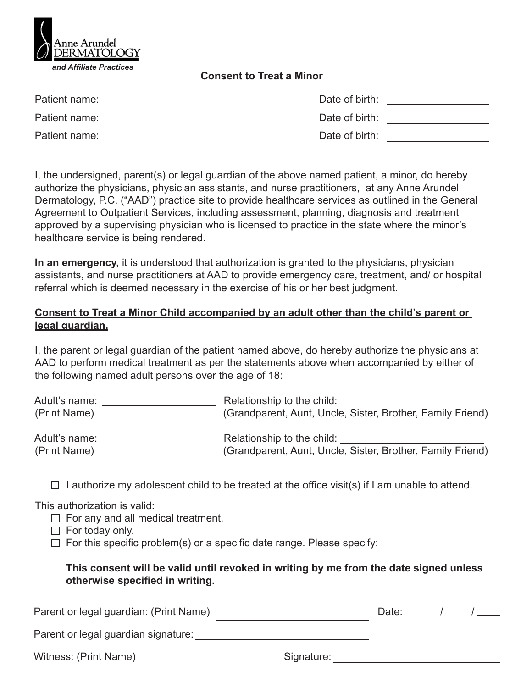

## **Consent to Treat a Minor**

| Patient name: | Date of birth: |  |
|---------------|----------------|--|
| Patient name: | Date of birth: |  |
| Patient name: | Date of birth: |  |

I, the undersigned, parent(s) or legal guardian of the above named patient, a minor, do hereby authorize the physicians, physician assistants, and nurse practitioners, at any Anne Arundel Dermatology, P.C. ("AAD") practice site to provide healthcare services as outlined in the General Agreement to Outpatient Services, including assessment, planning, diagnosis and treatment approved by a supervising physician who is licensed to practice in the state where the minor's healthcare service is being rendered.

**In an emergency,** it is understood that authorization is granted to the physicians, physician assistants, and nurse practitioners at AAD to provide emergency care, treatment, and/ or hospital referral which is deemed necessary in the exercise of his or her best judgment.

# **Consent to Treat a Minor Child accompanied by an adult other than the child's parent or legal guardian.**

I, the parent or legal guardian of the patient named above, do hereby authorize the physicians at AAD to perform medical treatment as per the statements above when accompanied by either of the following named adult persons over the age of 18:

| Adult's name: | Relationship to the child:                                 |
|---------------|------------------------------------------------------------|
| (Print Name)  | (Grandparent, Aunt, Uncle, Sister, Brother, Family Friend) |
| Adult's name: | Relationship to the child:                                 |
| (Print Name)  | (Grandparent, Aunt, Uncle, Sister, Brother, Family Friend) |

 $\Box$  I authorize my adolescent child to be treated at the office visit(s) if I am unable to attend.

This authorization is valid:

- $\Box$  For any and all medical treatment.
- $\Box$  For today only.
- $\Box$  For this specific problem(s) or a specific date range. Please specify:

# **This consent will be valid until revoked in writing by me from the date signed unless otherwise specified in writing.**

| Parent or legal guardian: (Print Name) |            | Date: |  |
|----------------------------------------|------------|-------|--|
| Parent or legal guardian signature:    |            |       |  |
| Witness: (Print Name)                  | Signature: |       |  |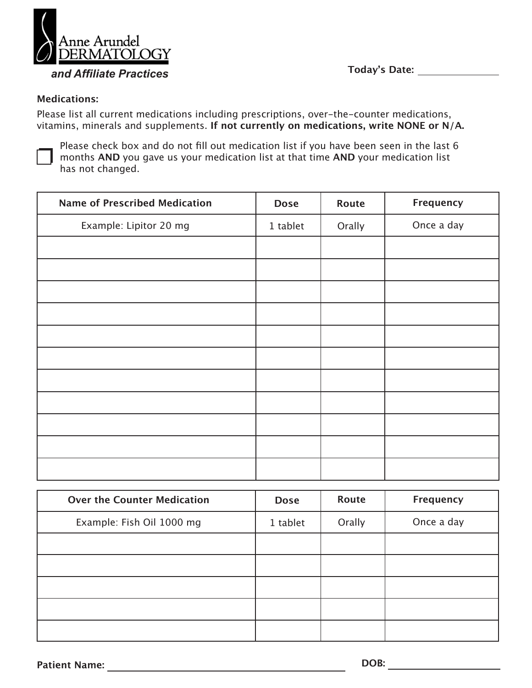

**Today's Date:**

# **Medications:**

Please list all current medications including prescriptions, over-the-counter medications, vitamins, minerals and supplements. **If not currently on medications, write NONE or N/A.**



Please check box and do not fill out medication list if you have been seen in the last 6 months **AND** you gave us your medication list at that time **AND** your medication list has not changed.

| <b>Name of Prescribed Medication</b> | <b>Dose</b> | Route  | Frequency  |
|--------------------------------------|-------------|--------|------------|
| Example: Lipitor 20 mg               | 1 tablet    | Orally | Once a day |
|                                      |             |        |            |
|                                      |             |        |            |
|                                      |             |        |            |
|                                      |             |        |            |
|                                      |             |        |            |
|                                      |             |        |            |
|                                      |             |        |            |
|                                      |             |        |            |
|                                      |             |        |            |
|                                      |             |        |            |
|                                      |             |        |            |

| <b>Over the Counter Medication</b> | <b>Dose</b> | Route  | Frequency  |
|------------------------------------|-------------|--------|------------|
| Example: Fish Oil 1000 mg          | 1 tablet    | Orally | Once a day |
|                                    |             |        |            |
|                                    |             |        |            |
|                                    |             |        |            |
|                                    |             |        |            |
|                                    |             |        |            |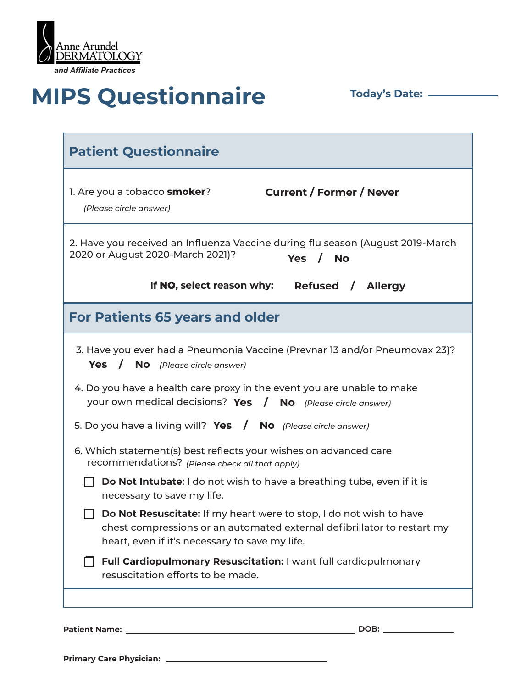

# **MIPS Questionnaire Today's Date:** <u>\_\_\_\_\_</u>

| <b>Patient Questionnaire</b>                                                                                                                                                                                                                                                                                                                                                                                                                                                                                                                                                                                                                                                                                                                                                                                                                                      |                                                                                                        |  |  |
|-------------------------------------------------------------------------------------------------------------------------------------------------------------------------------------------------------------------------------------------------------------------------------------------------------------------------------------------------------------------------------------------------------------------------------------------------------------------------------------------------------------------------------------------------------------------------------------------------------------------------------------------------------------------------------------------------------------------------------------------------------------------------------------------------------------------------------------------------------------------|--------------------------------------------------------------------------------------------------------|--|--|
| 1. Are you a tobacco <b>smoker</b> ?<br>(Please circle answer)                                                                                                                                                                                                                                                                                                                                                                                                                                                                                                                                                                                                                                                                                                                                                                                                    | <b>Current / Former / Never</b>                                                                        |  |  |
| 2020 or August 2020-March 2021)?                                                                                                                                                                                                                                                                                                                                                                                                                                                                                                                                                                                                                                                                                                                                                                                                                                  | 2. Have you received an Influenza Vaccine during flu season (August 2019-March<br>$/$ No<br><b>Yes</b> |  |  |
| If NO, select reason why:                                                                                                                                                                                                                                                                                                                                                                                                                                                                                                                                                                                                                                                                                                                                                                                                                                         | Refused / Allergy                                                                                      |  |  |
| <b>For Patients 65 years and older</b>                                                                                                                                                                                                                                                                                                                                                                                                                                                                                                                                                                                                                                                                                                                                                                                                                            |                                                                                                        |  |  |
| 3. Have you ever had a Pneumonia Vaccine (Prevnar 13 and/or Pneumovax 23)?<br>Yes / No (Please circle answer)<br>4. Do you have a health care proxy in the event you are unable to make<br>your own medical decisions? Yes / No (Please circle answer)<br>5. Do you have a living will? Yes / No (Please circle answer)<br>6. Which statement(s) best reflects your wishes on advanced care<br>recommendations? (Please check all that apply)<br>Do Not Intubate: I do not wish to have a breathing tube, even if it is<br>necessary to save my life.<br>Do Not Resuscitate: If my heart were to stop, I do not wish to have<br>chest compressions or an automated external defibrillator to restart my<br>heart, even if it's necessary to save my life.<br>Full Cardiopulmonary Resuscitation: I want full cardiopulmonary<br>resuscitation efforts to be made. |                                                                                                        |  |  |

**Patient Name: DOB:**